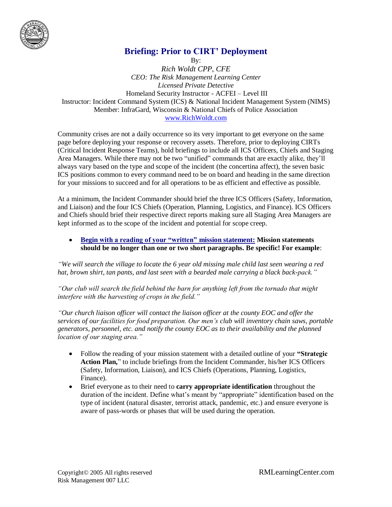

# **Briefing: Prior to CIRT' Deployment**

By: *Rich Woldt CPP, CFE CEO: The Risk Management Learning Center Licensed Private Detective* Homeland Security Instructor - ACFEI – Level III Instructor: Incident Command System (ICS) & National Incident Management System (NIMS) Member: InfraGard, Wisconsin & National Chiefs of Police Association [www.RichWoldt.com](http://www.richwoldt.com/)

Community crises are not a daily occurrence so its very important to get everyone on the same page before deploying your response or recovery assets. Therefore, prior to deploying CIRTs (Critical Incident Response Teams), hold briefings to include all ICS Officers, Chiefs and Staging Area Managers. While there may not be two "unified" commands that are exactly alike, they'll always vary based on the type and scope of the incident (the concertina affect), the seven basic ICS positions common to every command need to be on board and heading in the same direction for your missions to succeed and for all operations to be as efficient and effective as possible.

At a minimum, the Incident Commander should brief the three ICS Officers (Safety, Information, and Liaison) and the four ICS Chiefs (Operation, Planning, Logistics, and Finance). ICS Officers and Chiefs should brief their respective direct reports making sure all Staging Area Managers are kept informed as to the scope of the incident and potential for scope creep.

#### **Begin with a reading of your "written" mission statement: Mission statements should be no longer than one or two short paragraphs. Be specific! For example**:

*"We will search the village to locate the 6 year old missing male child last seen wearing a red hat, brown shirt, tan pants, and last seen with a bearded male carrying a black back-pack."* 

*"Our club will search the field behind the barn for anything left from the tornado that might interfere with the harvesting of crops in the field."*

*"Our church liaison officer will contact the liaison officer at the county EOC and offer the services of our facilities for food preparation. Our men's club will inventory chain saws, portable generators, personnel, etc. and notify the county EOC as to their availability and the planned location of our staging area."*

- Follow the reading of your mission statement with a detailed outline of your **"Strategic Action Plan,**" to include briefings from the Incident Commander, his/her ICS Officers (Safety, Information, Liaison), and ICS Chiefs (Operations, Planning, Logistics, Finance).
- Brief everyone as to their need to **carry appropriate identification** throughout the duration of the incident. Define what's meant by "appropriate" identification based on the type of incident (natural disaster, terrorist attack, pandemic, etc.) and ensure everyone is aware of pass-words or phases that will be used during the operation.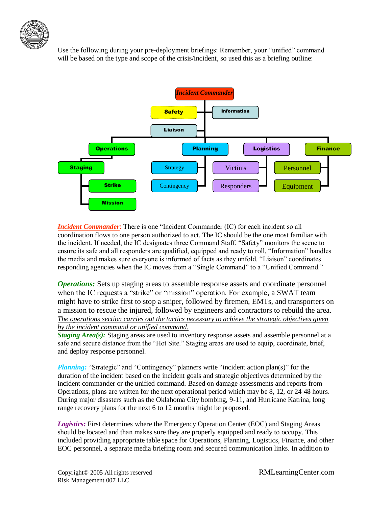

Use the following during your pre-deployment briefings: Remember, your "unified" command will be based on the type and scope of the crisis/incident, so used this as a briefing outline:



*Incident Commander*: There is one "Incident Commander (IC) for each incident so all coordination flows to one person authorized to act. The IC should be the one most familiar with the incident. If needed, the IC designates three Command Staff. "Safety" monitors the scene to ensure its safe and all responders are qualified, equipped and ready to roll, "Information" handles the media and makes sure everyone is informed of facts as they unfold. "Liaison" coordinates responding agencies when the IC moves from a "Single Command" to a "Unified Command."

*Operations:* Sets up staging areas to assemble response assets and coordinate personnel when the IC requests a "strike" or "mission" operation. For example, a SWAT team might have to strike first to stop a sniper, followed by firemen, EMTs, and transporters on a mission to rescue the injured, followed by engineers and contractors to rebuild the area. *The operations section carries out the tactics necessary to achieve the strategic objectives given by the incident command or unified command.*

*Staging Area(s):* Staging areas are used to inventory response assets and assemble personnel at a safe and secure distance from the "Hot Site." Staging areas are used to equip, coordinate, brief, and deploy response personnel.

*Planning:* "Strategic" and "Contingency" planners write "incident action plan(s)" for the duration of the incident based on the incident goals and strategic objectives determined by the incident commander or the unified command. Based on damage assessments and reports from Operations, plans are written for the next operational period which may be 8, 12, or 24 48 hours. During major disasters such as the Oklahoma City bombing, 9-11, and Hurricane Katrina, long range recovery plans for the next 6 to 12 months might be proposed.

*Logistics:* First determines where the Emergency Operation Center (EOC) and Staging Areas should be located and than makes sure they are properly equipped and ready to occupy. This included providing appropriate table space for Operations, Planning, Logistics, Finance, and other EOC personnel, a separate media briefing room and secured communication links. In addition to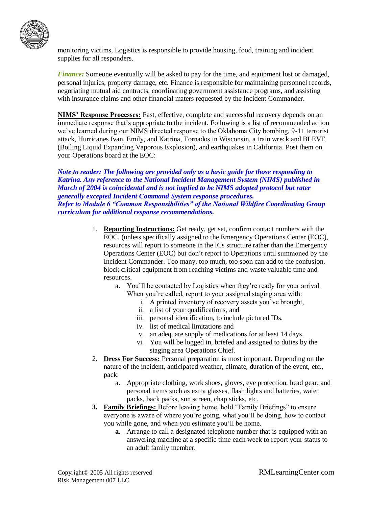

monitoring victims, Logistics is responsible to provide housing, food, training and incident supplies for all responders.

*Finance:* Someone eventually will be asked to pay for the time, and equipment lost or damaged, personal injuries, property damage, etc. Finance is responsible for maintaining personnel records, negotiating mutual aid contracts, coordinating government assistance programs, and assisting with insurance claims and other financial maters requested by the Incident Commander.

**NIMS' Response Processes:** Fast, effective, complete and successful recovery depends on an immediate response that's appropriate to the incident. Following is a list of recommended action we've learned during our NIMS directed response to the Oklahoma City bombing, 9-11 terrorist attack, Hurricanes Ivan, Emily, and Katrina, Tornados in Wisconsin, a train wreck and BLEVE (Boiling Liquid Expanding Vaporous Explosion), and earthquakes in California. Post them on your Operations board at the EOC:

*Note to reader: The following are provided only as a basic guide for those responding to Katrina. Any reference to the National Incident Management System (NIMS) published in March of 2004 is coincidental and is not implied to be NIMS adopted protocol but rater generally excepted Incident Command System response procedures. Refer to Module 6 "Common Responsibilities" of the National Wildfire Coordinating Group curriculum for additional response recommendations.* 

- 1. **Reporting Instructions:** Get ready, get set, confirm contact numbers with the EOC, (unless specifically assigned to the Emergency Operations Center (EOC), resources will report to someone in the ICs structure rather than the Emergency Operations Center (EOC) but don't report to Operations until summoned by the Incident Commander. Too many, too much, too soon can add to the confusion, block critical equipment from reaching victims and waste valuable time and resources.
	- a. You'll be contacted by Logistics when they're ready for your arrival. When you're called, report to your assigned staging area with:
		- i. A printed inventory of recovery assets you've brought,
		- ii. a list of your qualifications, and
		- iii. personal identification, to include pictured IDs,
		- iv. list of medical limitations and
		- v. an adequate supply of medications for at least 14 days.
		- vi. You will be logged in, briefed and assigned to duties by the staging area Operations Chief.
- 2. **Dress For Success:** Personal preparation is most important. Depending on the nature of the incident, anticipated weather, climate, duration of the event, etc., pack:
	- a. Appropriate clothing, work shoes, gloves, eye protection, head gear, and personal items such as extra glasses, flash lights and batteries, water packs, back packs, sun screen, chap sticks, etc.
- **3. Family Briefings:** Before leaving home, hold "Family Briefings" to ensure everyone is aware of where you're going, what you'll be doing, how to contact you while gone, and when you estimate you'll be home.
	- **a.** Arrange to call a designated telephone number that is equipped with an answering machine at a specific time each week to report your status to an adult family member.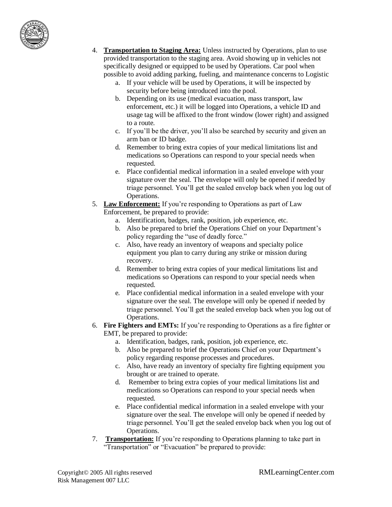

- 4. **Transportation to Staging Area:** Unless instructed by Operations, plan to use provided transportation to the staging area. Avoid showing up in vehicles not specifically designed or equipped to be used by Operations. Car pool when possible to avoid adding parking, fueling, and maintenance concerns to Logistic
	- a. If your vehicle will be used by Operations, it will be inspected by security before being introduced into the pool.
	- b. Depending on its use (medical evacuation, mass transport, law enforcement, etc.) it will be logged into Operations, a vehicle ID and usage tag will be affixed to the front window (lower right) and assigned to a route.
	- c. If you'll be the driver, you'll also be searched by security and given an arm ban or ID badge.
	- d. Remember to bring extra copies of your medical limitations list and medications so Operations can respond to your special needs when requested.
	- e. Place confidential medical information in a sealed envelope with your signature over the seal. The envelope will only be opened if needed by triage personnel. You'll get the sealed envelop back when you log out of Operations.
- 5. **Law Enforcement:** If you're responding to Operations as part of Law Enforcement, be prepared to provide:
	- a. Identification, badges, rank, position, job experience, etc.
	- b. Also be prepared to brief the Operations Chief on your Department's policy regarding the "use of deadly force."
	- c. Also, have ready an inventory of weapons and specialty police equipment you plan to carry during any strike or mission during recovery.
	- d. Remember to bring extra copies of your medical limitations list and medications so Operations can respond to your special needs when requested.
	- e. Place confidential medical information in a sealed envelope with your signature over the seal. The envelope will only be opened if needed by triage personnel. You'll get the sealed envelop back when you log out of Operations.

### 6. **Fire Fighters and EMTs:** If you're responding to Operations as a fire fighter or EMT, be prepared to provide:

- a. Identification, badges, rank, position, job experience, etc.
- b. Also be prepared to brief the Operations Chief on your Department's policy regarding response processes and procedures.
- c. Also, have ready an inventory of specialty fire fighting equipment you brought or are trained to operate.
- d. Remember to bring extra copies of your medical limitations list and medications so Operations can respond to your special needs when requested.
- e. Place confidential medical information in a sealed envelope with your signature over the seal. The envelope will only be opened if needed by triage personnel. You'll get the sealed envelop back when you log out of Operations.
- 7. **Transportation:** If you're responding to Operations planning to take part in "Transportation" or "Evacuation" be prepared to provide: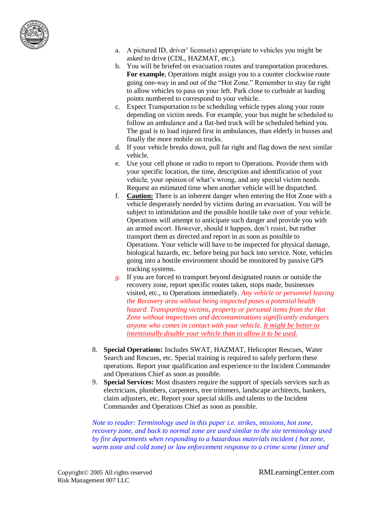

- a. A pictured ID, driver' license(s) appropriate to vehicles you might be asked to drive (CDL, HAZMAT, etc.).
- b. You will be briefed on evacuation routes and transportation procedures. **For example**, Operations might assign you to a counter clockwise route going one-way in and out of the "Hot Zone." Remember to stay far right to allow vehicles to pass on your left. Park close to curbside at loading points numbered to correspond to your vehicle.
- c. Expect Transportation to be scheduling vehicle types along your route depending on victim needs. For example, your bus might be scheduled to follow an ambulance and a flat-bed truck will be scheduled behind you. The goal is to load injured first in ambulances, than elderly in busses and finally the more mobile on trucks.
- d. If your vehicle breaks down, pull far right and flag down the next similar vehicle.
- e. Use your cell phone or radio to report to Operations. Provide them with your specific location, the time, description and identification of your vehicle, your opinion of what's wrong, and any special victim needs. Request an estimated time when another vehicle will be dispatched.
- f. **Caution:** There is an inherent danger when entering the Hot Zone with a vehicle desperately needed by victims during an evacuation. You will be subject to intimidation and the possible hostile take over of your vehicle. Operations will attempt to anticipate such danger and provide you with an armed escort. However, should it happen, don't resist, but rather transport them as directed and report in as soon as possible to Operations. Your vehicle will have to be inspected for physical damage, biological hazards, etc. before being put back into service. Note, vehicles going into a hostile environment should be monitored by passive GPS tracking systems.
- *g.* If you are forced to transport beyond designated routes or outside the recovery zone, report specific routes taken, stops made, businesses visited, etc., to Operations immediately. *Any vehicle or personnel leaving the Recovery area without being inspected poses a potential health hazard. Transporting victims, property or personal items from the Hot Zone without inspections and decontaminations significantly endangers anyone who comes in contact with your vehicle. It might be better to intentionally disable your vehicle than to allow it to be used.*
- 8. **Special Operations:** Includes SWAT, HAZMAT, Helicopter Rescues, Water Search and Rescues, etc. Special training is required to safely perform these operations. Report your qualification and experience to the Incident Commander and Operations Chief as soon as possible.
- 9. **Special Services:** Most disasters require the support of specials services such as electricians, plumbers, carpenters, tree trimmers, landscape architects, bankers, claim adjusters, etc. Report your special skills and talents to the Incident Commander and Operations Chief as soon as possible.

*Note to reader: Terminology used in this paper i.e. strikes, missions, hot zone, recovery zone, and back to normal zone are used similar to the site terminology used by fire departments when responding to a hazardous materials incident ( hot zone, warm zone and cold zone) or law enforcement response to a crime scene (inner and*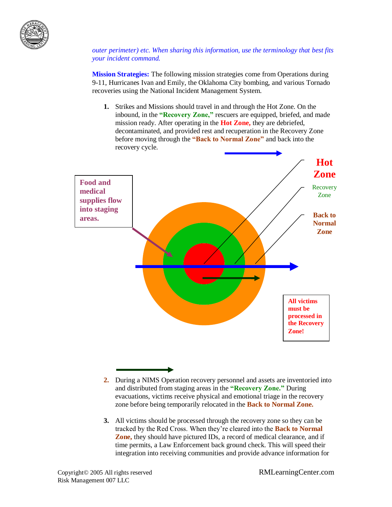

*outer perimeter) etc. When sharing this information, use the terminology that best fits your incident command.* 

**Mission Strategies:** The following mission strategies come from Operations during 9-11, Hurricanes Ivan and Emily, the Oklahoma City bombing, and various Tornado recoveries using the National Incident Management System.

**1.** Strikes and Missions should travel in and through the Hot Zone. On the inbound, in the **"Recovery Zone,"** rescuers are equipped, briefed, and made mission ready. After operating in the **Hot Zone,** they are debriefed, decontaminated, and provided rest and recuperation in the Recovery Zone before moving through the **"Back to Normal Zone"** and back into the recovery cycle.



- **2.** During a NIMS Operation recovery personnel and assets are inventoried into and distributed from staging areas in the **"Recovery Zone."** During evacuations, victims receive physical and emotional triage in the recovery zone before being temporarily relocated in the **Back to Normal Zone.**
- **3.** All victims should be processed through the recovery zone so they can be tracked by the Red Cross. When they're cleared into the **Back to Normal Zone,** they should have pictured IDs, a record of medical clearance, and if time permits, a Law Enforcement back ground check. This will speed their integration into receiving communities and provide advance information for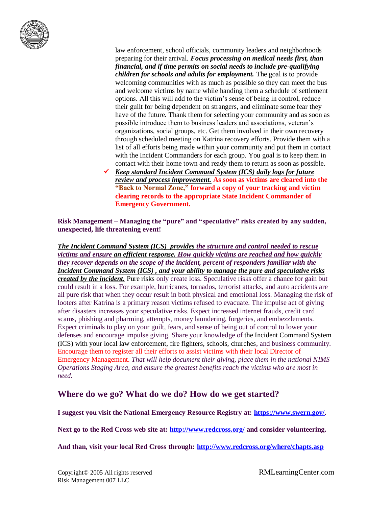

law enforcement, school officials, community leaders and neighborhoods preparing for their arrival. *Focus processing on medical needs first, than financial, and if time permits on social needs to include pre-qualifying children for schools and adults for employment.* The goal is to provide welcoming communities with as much as possible so they can meet the bus and welcome victims by name while handing them a schedule of settlement options. All this will add to the victim's sense of being in control, reduce their guilt for being dependent on strangers, and eliminate some fear they have of the future. Thank them for selecting your community and as soon as possible introduce them to business leaders and associations, veteran's organizations, social groups, etc. Get them involved in their own recovery through scheduled meeting on Katrina recovery efforts. Provide them with a list of all efforts being made within your community and put them in contact with the Incident Commanders for each group. You goal is to keep them in contact with their home town and ready them to return as soon as possible.

 *Keep standard Incident Command System (ICS) daily logs for future review and process improvement.* **As soon as victims are cleared into the "Back to Normal Zone," forward a copy of your tracking and victim clearing records to the appropriate State Incident Commander of Emergency Government.**

**Risk Management – Managing the "pure" and "speculative" risks created by any sudden, unexpected, life threatening event!**

*The Incident Command System (ICS) provides the structure and control needed to rescue victims and ensure an efficient response. How quickly victims are reached and how quickly they recover depends on the scope of the incident, percent of responders familiar with the Incident Command System (ICS) , and your ability to manage the pure and speculative risks created by the incident.* Pure risks only create loss. Speculative risks offer a chance for gain but could result in a loss. For example, hurricanes, tornados, terrorist attacks, and auto accidents are all pure risk that when they occur result in both physical and emotional loss. Managing the risk of looters after Katrina is a primary reason victims refused to evacuate. The impulse act of giving after disasters increases your speculative risks. Expect increased internet frauds, credit card scams, phishing and pharming, attempts, money laundering, forgeries, and embezzlements. Expect criminals to play on your guilt, fears, and sense of being out of control to lower your defenses and encourage impulse giving. Share your knowledge of the Incident Command System (ICS) with your local law enforcement, fire fighters, schools, churches, and business community. Encourage them to register all their efforts to assist victims with their local Director of Emergency Management. *That will help document their giving, place them in the national NIMS Operations Staging Area, and ensure the greatest benefits reach the victims who are most in need.*

## **Where do we go? What do we do? How do we get started?**

**I suggest you visit the National Emergency Resource Registry at: [https://www.swern.gov/.](https://www.swern.gov/)** 

**Next go to the Red Cross web site at:<http://www.redcross.org/> and consider volunteering.**

**And than, visit your local Red Cross through: <http://www.redcross.org/where/chapts.asp>**